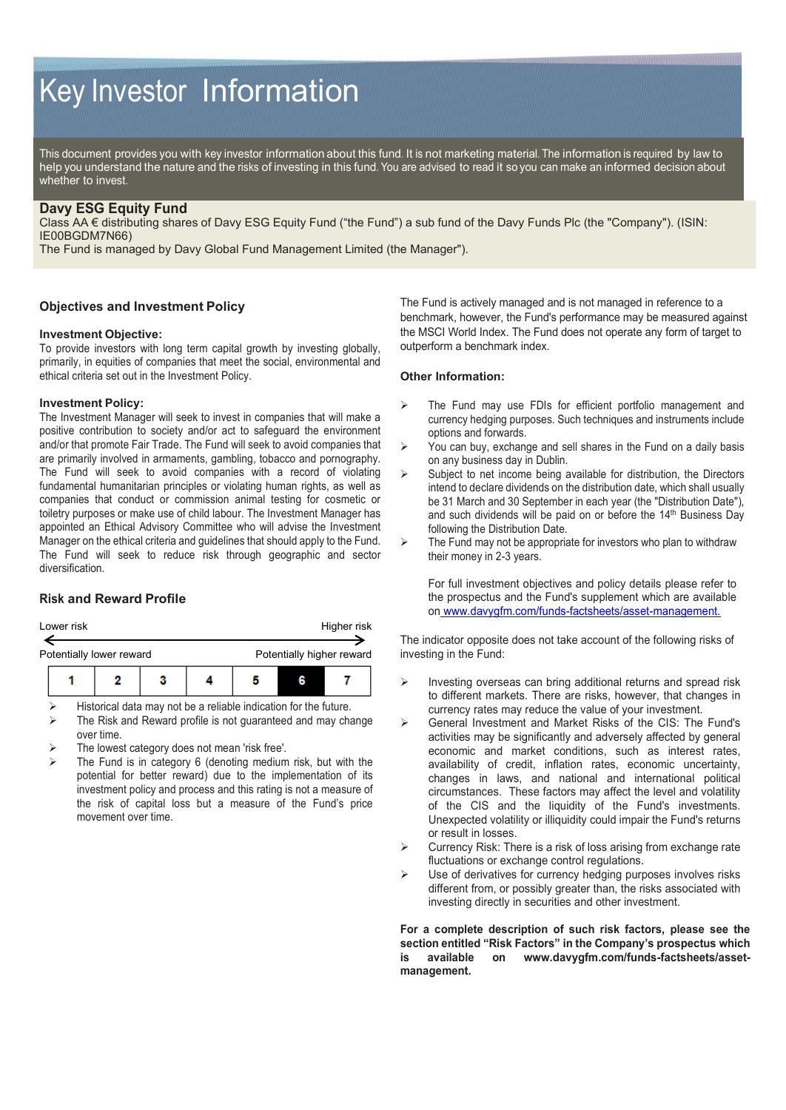# Key Investor Information

This document provides you with key investor information about this fund. It is not marketing material. The information is required by law to help you understand the nature and the risks of investing in this fund. You are advised to read it so you can make an informed decision about whether to invest.

## **Davy ESG Equity Fund**

Class AA € distributing shares of Davy ESG Equity Fund ("the Fund") a sub fund of the Davy Funds Plc (the "Company"). (ISIN: IE00BGDM7N66)

The Fund is managed by Davy Global Fund Management Limited (the Manager").

## **Objectives and Investment Policy**

#### **Investment Objective:**

To provide investors with long term capital growth by investing globally, primarily, in equities of companies that meet the social, environmental and ethical criteria set out in the Investment Policy.

#### **Investment Policy:**

The Investment Manager will seek to invest in companies that will make a positive contribution to society and/or act to safeguard the environment and/or that promote Fair Trade. The Fund will seek to avoid companies that are primarily involved in armaments, gambling, tobacco and pornography. The Fund will seek to avoid companies with a record of violating fundamental humanitarian principles or violating human rights, as well as companies that conduct or commission animal testing for cosmetic or toiletry purposes or make use of child labour. The Investment Manager has appointed an Ethical Advisory Committee who will advise the Investment Manager on the ethical criteria and guidelines that should apply to the Fund. The Fund will seek to reduce risk through geographic and sector diversification.

## **Risk and Reward Profile**

| Lower risk |  |                          |  |  | Higher risk |  |                           |  |
|------------|--|--------------------------|--|--|-------------|--|---------------------------|--|
|            |  | Potentially lower reward |  |  |             |  | Potentially higher reward |  |
|            |  |                          |  |  |             |  |                           |  |

Historical data may not be a reliable indication for the future.

- The Risk and Reward profile is not guaranteed and may change over time.
- The lowest category does not mean 'risk free'.
- The Fund is in category 6 (denoting medium risk, but with the potential for better reward) due to the implementation of its investment policy and process and this rating is not a measure of the risk of capital loss but a measure of the Fund's price movement over time.

The Fund is actively managed and is not managed in reference to a benchmark, however, the Fund's performance may be measured against the MSCI World Index. The Fund does not operate any form of target to outperform a benchmark index.

#### **Other Information:**

- The Fund may use FDIs for efficient portfolio management and currency hedging purposes. Such techniques and instruments include options and forwards.
- $\triangleright$  You can buy, exchange and sell shares in the Fund on a daily basis on any business day in Dublin.
- $\triangleright$  Subject to net income being available for distribution, the Directors intend to declare dividends on the distribution date, which shall usually be 31 March and 30 September in each year (the "Distribution Date"), and such dividends will be paid on or before the 14<sup>th</sup> Business Day following the Distribution Date.
- $\triangleright$  The Fund may not be appropriate for investors who plan to withdraw their money in 2-3 years.

For full investment objectives and policy details please refer to the prospectus and the Fund's supplement which are available on www.davygfm.com/funds-factsheets/asset-management.

The indicator opposite does not take account of the following risks of investing in the Fund:

- $\triangleright$  Investing overseas can bring additional returns and spread risk to different markets. There are risks, however, that changes in currency rates may reduce the value of your investment.
- General Investment and Market Risks of the CIS: The Fund's activities may be significantly and adversely affected by general economic and market conditions, such as interest rates, availability of credit, inflation rates, economic uncertainty, changes in laws, and national and international political circumstances. These factors may affect the level and volatility of the CIS and the liquidity of the Fund's investments. Unexpected volatility or illiquidity could impair the Fund's returns or result in losses.
- $\triangleright$  Currency Risk: There is a risk of loss arising from exchange rate fluctuations or exchange control regulations.
- Use of derivatives for currency hedging purposes involves risks different from, or possibly greater than, the risks associated with investing directly in securities and other investment.

**For a complete description of such risk factors, please see the section entitled "Risk Factors" in the Company's prospectus which is available on www.davygfm.com/funds-factsheets/assetmanagement.**